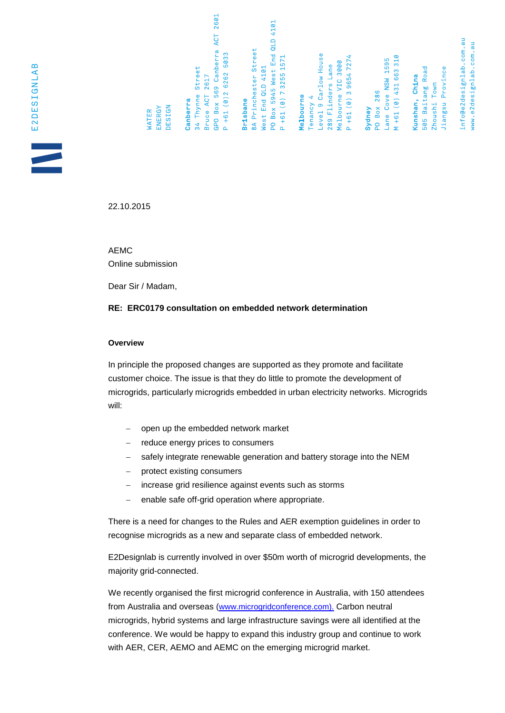GPO Box 569 Canberra ACT 2601  $- +61$  (0) 2 6262 5033 34 Thynne Street Bruce ACT 2617 Canberra **Brisbane** 

4101 PO Box 5945 West End QLD 8A Princhester Street  $P + 61 (0) 7 3255 1571$ vest End QLD 4101

# **Melbourne**

evel 9 Carlow House P +61 (0) 3 9654 7274 Melbourne VIC 3000 289 Flinders Lane Tenancy 4

### Sydney

 $M + 61 (0) 431 663 310$ ane Cove NSW 1595 PO Box 286

## 505 Baitang Road Kunshan, China

Jiangsu Province Zhoushi Town

info@e2designlab.com.au www.e2designlab.com.au

22.10.2015

AEMC Online submission

**DESIGN** ENERGY

**NATER** 

Dear Sir / Madam,

#### **RE: ERC0179 consultation on embedded network determination**

#### **Overview**

In principle the proposed changes are supported as they promote and facilitate customer choice. The issue is that they do little to promote the development of microgrids, particularly microgrids embedded in urban electricity networks. Microgrids will:

- open up the embedded network market
- reduce energy prices to consumers
- safely integrate renewable generation and battery storage into the NEM
- protect existing consumers
- increase grid resilience against events such as storms
- enable safe off-grid operation where appropriate.

There is a need for changes to the Rules and AER exemption guidelines in order to recognise microgrids as a new and separate class of embedded network.

E2Designlab is currently involved in over \$50m worth of microgrid developments, the majority grid-connected.

We recently organised the first microgrid conference in Australia, with 150 attendees from Australia and overseas ([www.microgridconference.com\)](http://www.microgridconference.com/). Carbon neutral microgrids, hybrid systems and large infrastructure savings were all identified at the conference. We would be happy to expand this industry group and continue to work with AER, CER, AEMO and AEMC on the emerging microgrid market.